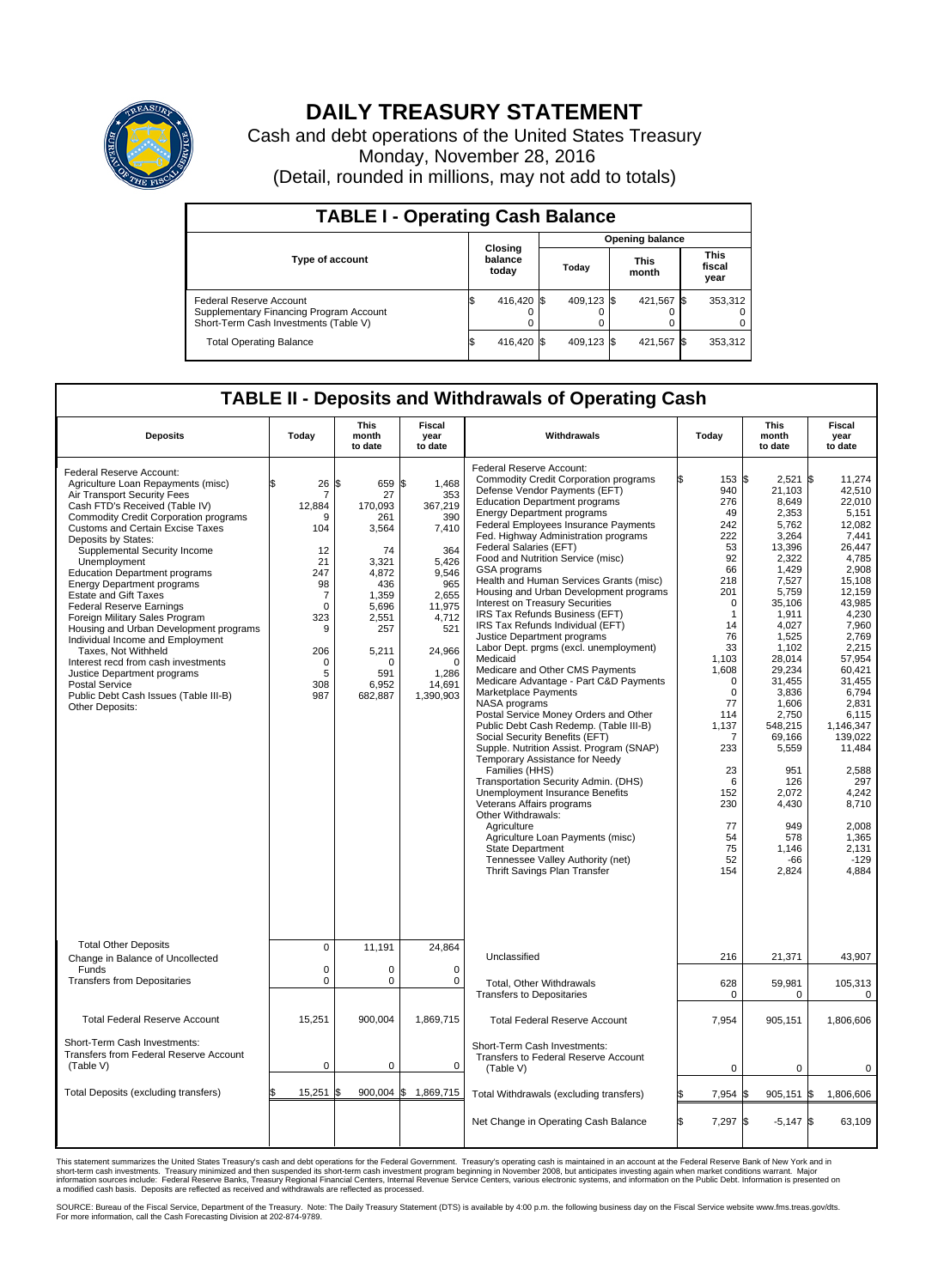

## **DAILY TREASURY STATEMENT**

Cash and debt operations of the United States Treasury Monday, November 28, 2016 (Detail, rounded in millions, may not add to totals)

| <b>TABLE I - Operating Cash Balance</b>                                                                     |     |                             |  |                        |  |                      |  |                               |  |
|-------------------------------------------------------------------------------------------------------------|-----|-----------------------------|--|------------------------|--|----------------------|--|-------------------------------|--|
|                                                                                                             |     |                             |  | <b>Opening balance</b> |  |                      |  |                               |  |
| <b>Type of account</b>                                                                                      |     | Closing<br>balance<br>today |  | Today                  |  | <b>This</b><br>month |  | <b>This</b><br>fiscal<br>year |  |
| Federal Reserve Account<br>Supplementary Financing Program Account<br>Short-Term Cash Investments (Table V) |     | 416,420 \$                  |  | 409.123 \$             |  | 421.567 \$           |  | 353,312                       |  |
| <b>Total Operating Balance</b>                                                                              | I\$ | 416,420 \$                  |  | 409,123 \$             |  | 421,567 \$           |  | 353,312                       |  |

## **TABLE II - Deposits and Withdrawals of Operating Cash**

| <b>Deposits</b>                                                                                                                                                                                                                                                                                                                                                                                                                                                                                                                                                                                                                                                                                                                       | Todav                                                                                                                       | <b>This</b><br>month<br>to date                                                                                                                                 | <b>Fiscal</b><br>year<br>to date                                                                                                                                 | Withdrawals                                                                                                                                                                                                                                                                                                                                                                                                                                                                                                                                                                                                                                                                                                                                                                                                                                                                                                                                                                                                                                                                                                                                                                                                                                                         | Today                                                                                                                                                                                                                                                 | <b>This</b><br>month<br>to date                                                                                                                                                                                                                                                                                 | <b>Fiscal</b><br>year<br>to date                                                                                                                                                                                                                                                                                                       |
|---------------------------------------------------------------------------------------------------------------------------------------------------------------------------------------------------------------------------------------------------------------------------------------------------------------------------------------------------------------------------------------------------------------------------------------------------------------------------------------------------------------------------------------------------------------------------------------------------------------------------------------------------------------------------------------------------------------------------------------|-----------------------------------------------------------------------------------------------------------------------------|-----------------------------------------------------------------------------------------------------------------------------------------------------------------|------------------------------------------------------------------------------------------------------------------------------------------------------------------|---------------------------------------------------------------------------------------------------------------------------------------------------------------------------------------------------------------------------------------------------------------------------------------------------------------------------------------------------------------------------------------------------------------------------------------------------------------------------------------------------------------------------------------------------------------------------------------------------------------------------------------------------------------------------------------------------------------------------------------------------------------------------------------------------------------------------------------------------------------------------------------------------------------------------------------------------------------------------------------------------------------------------------------------------------------------------------------------------------------------------------------------------------------------------------------------------------------------------------------------------------------------|-------------------------------------------------------------------------------------------------------------------------------------------------------------------------------------------------------------------------------------------------------|-----------------------------------------------------------------------------------------------------------------------------------------------------------------------------------------------------------------------------------------------------------------------------------------------------------------|----------------------------------------------------------------------------------------------------------------------------------------------------------------------------------------------------------------------------------------------------------------------------------------------------------------------------------------|
| Federal Reserve Account:<br>Agriculture Loan Repayments (misc)<br>Air Transport Security Fees<br>Cash FTD's Received (Table IV)<br><b>Commodity Credit Corporation programs</b><br>Customs and Certain Excise Taxes<br>Deposits by States:<br>Supplemental Security Income<br>Unemployment<br><b>Education Department programs</b><br><b>Energy Department programs</b><br><b>Estate and Gift Taxes</b><br><b>Federal Reserve Earnings</b><br>Foreign Military Sales Program<br>Housing and Urban Development programs<br>Individual Income and Employment<br>Taxes. Not Withheld<br>Interest recd from cash investments<br>Justice Department programs<br>Postal Service<br>Public Debt Cash Issues (Table III-B)<br>Other Deposits: | \$<br>26<br>7<br>12,884<br>q<br>104<br>12<br>21<br>247<br>98<br>7<br>$\mathbf 0$<br>323<br>9<br>206<br>0<br>5<br>308<br>987 | l\$<br>659 \$<br>27<br>170,093<br>261<br>3.564<br>74<br>3,321<br>4,872<br>436<br>1,359<br>5,696<br>2,551<br>257<br>5,211<br>$\Omega$<br>591<br>6,952<br>682,887 | 1,468<br>353<br>367,219<br>390<br>7,410<br>364<br>5,426<br>9,546<br>965<br>2,655<br>11,975<br>4,712<br>521<br>24,966<br>$\Omega$<br>1,286<br>14,691<br>1,390,903 | Federal Reserve Account:<br><b>Commodity Credit Corporation programs</b><br>Defense Vendor Payments (EFT)<br><b>Education Department programs</b><br><b>Energy Department programs</b><br>Federal Employees Insurance Payments<br>Fed. Highway Administration programs<br>Federal Salaries (EFT)<br>Food and Nutrition Service (misc)<br>GSA programs<br>Health and Human Services Grants (misc)<br>Housing and Urban Development programs<br>Interest on Treasury Securities<br>IRS Tax Refunds Business (EFT)<br>IRS Tax Refunds Individual (EFT)<br>Justice Department programs<br>Labor Dept. prgms (excl. unemployment)<br>Medicaid<br>Medicare and Other CMS Payments<br>Medicare Advantage - Part C&D Payments<br>Marketplace Payments<br>NASA programs<br>Postal Service Money Orders and Other<br>Public Debt Cash Redemp. (Table III-B)<br>Social Security Benefits (EFT)<br>Supple. Nutrition Assist. Program (SNAP)<br>Temporary Assistance for Needy<br>Families (HHS)<br>Transportation Security Admin. (DHS)<br>Unemployment Insurance Benefits<br>Veterans Affairs programs<br>Other Withdrawals:<br>Agriculture<br>Agriculture Loan Payments (misc)<br><b>State Department</b><br>Tennessee Valley Authority (net)<br>Thrift Savings Plan Transfer | 153 \$<br>940<br>276<br>49<br>242<br>222<br>53<br>92<br>66<br>218<br>201<br>$\Omega$<br>1<br>14<br>76<br>33<br>1.103<br>1,608<br>$\mathbf 0$<br>$\mathbf 0$<br>77<br>114<br>1,137<br>7<br>233<br>23<br>6<br>152<br>230<br>77<br>54<br>75<br>52<br>154 | 2,521<br>21,103<br>8,649<br>2,353<br>5,762<br>3,264<br>13,396<br>2,322<br>1.429<br>7,527<br>5,759<br>35,106<br>1,911<br>4,027<br>1,525<br>1,102<br>28.014<br>29,234<br>31,455<br>3,836<br>1,606<br>2,750<br>548.215<br>69,166<br>5,559<br>951<br>126<br>2.072<br>4,430<br>949<br>578<br>1,146<br>$-66$<br>2,824 | l\$<br>11,274<br>42,510<br>22.010<br>5,151<br>12,082<br>7.441<br>26,447<br>4.785<br>2.908<br>15.108<br>12,159<br>43.985<br>4,230<br>7,960<br>2,769<br>2,215<br>57.954<br>60,421<br>31,455<br>6,794<br>2.831<br>6,115<br>1.146.347<br>139,022<br>11,484<br>2,588<br>297<br>4,242<br>8,710<br>2.008<br>1,365<br>2,131<br>$-129$<br>4,884 |
| <b>Total Other Deposits</b><br>Change in Balance of Uncollected                                                                                                                                                                                                                                                                                                                                                                                                                                                                                                                                                                                                                                                                       | $\mathbf 0$                                                                                                                 | 11,191                                                                                                                                                          | 24,864                                                                                                                                                           | Unclassified                                                                                                                                                                                                                                                                                                                                                                                                                                                                                                                                                                                                                                                                                                                                                                                                                                                                                                                                                                                                                                                                                                                                                                                                                                                        | 216                                                                                                                                                                                                                                                   | 21,371                                                                                                                                                                                                                                                                                                          | 43,907                                                                                                                                                                                                                                                                                                                                 |
| Funds<br><b>Transfers from Depositaries</b>                                                                                                                                                                                                                                                                                                                                                                                                                                                                                                                                                                                                                                                                                           | $\mathbf 0$<br>$\mathbf 0$                                                                                                  | $\Omega$<br>0                                                                                                                                                   | $\Omega$<br>$\mathbf 0$                                                                                                                                          | Total, Other Withdrawals<br><b>Transfers to Depositaries</b>                                                                                                                                                                                                                                                                                                                                                                                                                                                                                                                                                                                                                                                                                                                                                                                                                                                                                                                                                                                                                                                                                                                                                                                                        | 628<br>0                                                                                                                                                                                                                                              | 59,981<br>$\mathbf 0$                                                                                                                                                                                                                                                                                           | 105,313<br>0                                                                                                                                                                                                                                                                                                                           |
| <b>Total Federal Reserve Account</b>                                                                                                                                                                                                                                                                                                                                                                                                                                                                                                                                                                                                                                                                                                  | 15,251                                                                                                                      | 900,004                                                                                                                                                         | 1,869,715                                                                                                                                                        | <b>Total Federal Reserve Account</b>                                                                                                                                                                                                                                                                                                                                                                                                                                                                                                                                                                                                                                                                                                                                                                                                                                                                                                                                                                                                                                                                                                                                                                                                                                | 7,954                                                                                                                                                                                                                                                 | 905,151                                                                                                                                                                                                                                                                                                         | 1,806,606                                                                                                                                                                                                                                                                                                                              |
| Short-Term Cash Investments:<br>Transfers from Federal Reserve Account<br>(Table V)                                                                                                                                                                                                                                                                                                                                                                                                                                                                                                                                                                                                                                                   | $\mathbf 0$                                                                                                                 | 0                                                                                                                                                               | $\mathbf 0$                                                                                                                                                      | Short-Term Cash Investments:<br>Transfers to Federal Reserve Account<br>(Table V)                                                                                                                                                                                                                                                                                                                                                                                                                                                                                                                                                                                                                                                                                                                                                                                                                                                                                                                                                                                                                                                                                                                                                                                   | $\Omega$                                                                                                                                                                                                                                              | $\Omega$                                                                                                                                                                                                                                                                                                        | $\Omega$                                                                                                                                                                                                                                                                                                                               |
| Total Deposits (excluding transfers)                                                                                                                                                                                                                                                                                                                                                                                                                                                                                                                                                                                                                                                                                                  | 15,251                                                                                                                      | 900,004<br>\$                                                                                                                                                   | l\$<br>1,869,715                                                                                                                                                 | Total Withdrawals (excluding transfers)                                                                                                                                                                                                                                                                                                                                                                                                                                                                                                                                                                                                                                                                                                                                                                                                                                                                                                                                                                                                                                                                                                                                                                                                                             | 7,954<br>S                                                                                                                                                                                                                                            | $905,151$ \$<br>ß.                                                                                                                                                                                                                                                                                              | 1,806,606                                                                                                                                                                                                                                                                                                                              |
|                                                                                                                                                                                                                                                                                                                                                                                                                                                                                                                                                                                                                                                                                                                                       |                                                                                                                             |                                                                                                                                                                 |                                                                                                                                                                  | Net Change in Operating Cash Balance                                                                                                                                                                                                                                                                                                                                                                                                                                                                                                                                                                                                                                                                                                                                                                                                                                                                                                                                                                                                                                                                                                                                                                                                                                | l\$<br>7,297 \$                                                                                                                                                                                                                                       | $-5,147$ \$                                                                                                                                                                                                                                                                                                     | 63,109                                                                                                                                                                                                                                                                                                                                 |

This statement summarizes the United States Treasury's cash and debt operations for the Federal Government. Treasury's operating cash is maintained in an account at the Federal Reserve Bank of New York and in<br>short-term ca

SOURCE: Bureau of the Fiscal Service, Department of the Treasury. Note: The Daily Treasury Statement (DTS) is available by 4:00 p.m. the following business day on the Fiscal Service website www.fms.treas.gov/dts.<br>For more